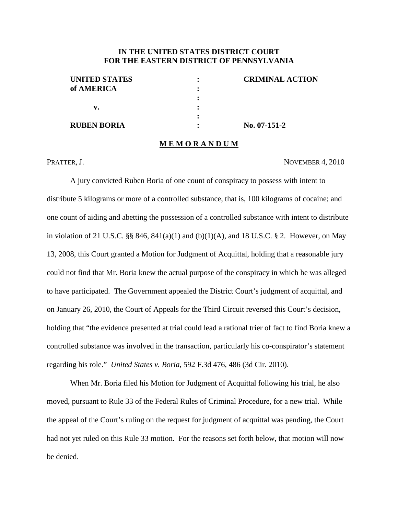## **IN THE UNITED STATES DISTRICT COURT FOR THE EASTERN DISTRICT OF PENNSYLVANIA**

| <b>CRIMINAL ACTION</b> |
|------------------------|
|                        |
|                        |
|                        |
|                        |
| $No. 07-151-2$         |
|                        |

#### **M E M O R A N D U M**

PRATTER, J. NOVEMBER 4, 2010

A jury convicted Ruben Boria of one count of conspiracy to possess with intent to distribute 5 kilograms or more of a controlled substance, that is, 100 kilograms of cocaine; and one count of aiding and abetting the possession of a controlled substance with intent to distribute in violation of 21 U.S.C.  $\S$  846, 841(a)(1) and (b)(1)(A), and 18 U.S.C. § 2. However, on May 13, 2008, this Court granted a Motion for Judgment of Acquittal, holding that a reasonable jury could not find that Mr. Boria knew the actual purpose of the conspiracy in which he was alleged to have participated. The Government appealed the District Court's judgment of acquittal, and on January 26, 2010, the Court of Appeals for the Third Circuit reversed this Court's decision, holding that "the evidence presented at trial could lead a rational trier of fact to find Boria knew a controlled substance was involved in the transaction, particularly his co-conspirator's statement regarding his role." *United States v. Boria*, 592 F.3d 476, 486 (3d Cir. 2010).

When Mr. Boria filed his Motion for Judgment of Acquittal following his trial, he also moved, pursuant to Rule 33 of the Federal Rules of Criminal Procedure, for a new trial. While the appeal of the Court's ruling on the request for judgment of acquittal was pending, the Court had not yet ruled on this Rule 33 motion. For the reasons set forth below, that motion will now be denied.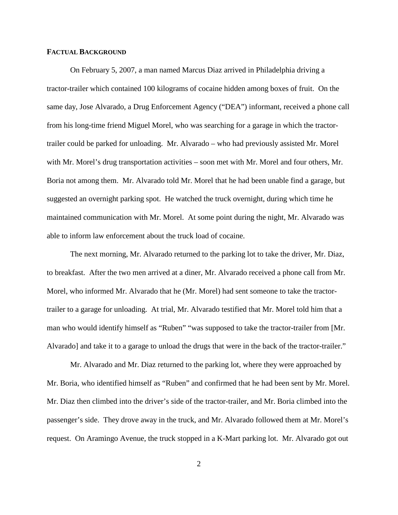#### **FACTUAL BACKGROUND**

On February 5, 2007, a man named Marcus Diaz arrived in Philadelphia driving a tractor-trailer which contained 100 kilograms of cocaine hidden among boxes of fruit. On the same day, Jose Alvarado, a Drug Enforcement Agency ("DEA") informant, received a phone call from his long-time friend Miguel Morel, who was searching for a garage in which the tractortrailer could be parked for unloading. Mr. Alvarado – who had previously assisted Mr. Morel with Mr. Morel's drug transportation activities – soon met with Mr. Morel and four others, Mr. Boria not among them. Mr. Alvarado told Mr. Morel that he had been unable find a garage, but suggested an overnight parking spot. He watched the truck overnight, during which time he maintained communication with Mr. Morel. At some point during the night, Mr. Alvarado was able to inform law enforcement about the truck load of cocaine.

The next morning, Mr. Alvarado returned to the parking lot to take the driver, Mr. Diaz, to breakfast. After the two men arrived at a diner, Mr. Alvarado received a phone call from Mr. Morel, who informed Mr. Alvarado that he (Mr. Morel) had sent someone to take the tractortrailer to a garage for unloading. At trial, Mr. Alvarado testified that Mr. Morel told him that a man who would identify himself as "Ruben" "was supposed to take the tractor-trailer from [Mr. Alvarado] and take it to a garage to unload the drugs that were in the back of the tractor-trailer."

Mr. Alvarado and Mr. Diaz returned to the parking lot, where they were approached by Mr. Boria, who identified himself as "Ruben" and confirmed that he had been sent by Mr. Morel. Mr. Diaz then climbed into the driver's side of the tractor-trailer, and Mr. Boria climbed into the passenger's side. They drove away in the truck, and Mr. Alvarado followed them at Mr. Morel's request. On Aramingo Avenue, the truck stopped in a K-Mart parking lot. Mr. Alvarado got out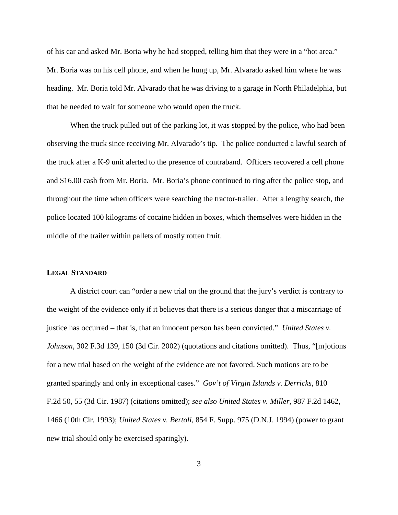of his car and asked Mr. Boria why he had stopped, telling him that they were in a "hot area." Mr. Boria was on his cell phone, and when he hung up, Mr. Alvarado asked him where he was heading. Mr. Boria told Mr. Alvarado that he was driving to a garage in North Philadelphia, but that he needed to wait for someone who would open the truck.

When the truck pulled out of the parking lot, it was stopped by the police, who had been observing the truck since receiving Mr. Alvarado's tip. The police conducted a lawful search of the truck after a K-9 unit alerted to the presence of contraband. Officers recovered a cell phone and \$16.00 cash from Mr. Boria. Mr. Boria's phone continued to ring after the police stop, and throughout the time when officers were searching the tractor-trailer. After a lengthy search, the police located 100 kilograms of cocaine hidden in boxes, which themselves were hidden in the middle of the trailer within pallets of mostly rotten fruit.

#### **LEGAL STANDARD**

A district court can "order a new trial on the ground that the jury's verdict is contrary to the weight of the evidence only if it believes that there is a serious danger that a miscarriage of justice has occurred – that is, that an innocent person has been convicted." *United States v. Johnson*, 302 F.3d 139, 150 (3d Cir. 2002) (quotations and citations omitted). Thus, "[m]otions for a new trial based on the weight of the evidence are not favored. Such motions are to be granted sparingly and only in exceptional cases." *Gov't of Virgin Islands v. Derricks*, 810 F.2d 50, 55 (3d Cir. 1987) (citations omitted); *see also United States v. Miller*, 987 F.2d 1462, 1466 (10th Cir. 1993); *United States v. Bertoli*, 854 F. Supp. 975 (D.N.J. 1994) (power to grant new trial should only be exercised sparingly).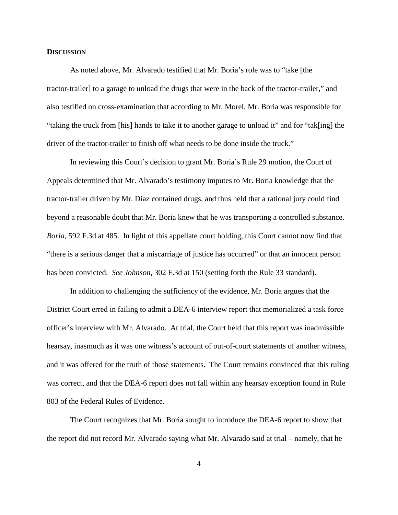#### **DISCUSSION**

As noted above, Mr. Alvarado testified that Mr. Boria's role was to "take [the tractor-trailer] to a garage to unload the drugs that were in the back of the tractor-trailer," and also testified on cross-examination that according to Mr. Morel, Mr. Boria was responsible for "taking the truck from [his] hands to take it to another garage to unload it" and for "tak[ing] the driver of the tractor-trailer to finish off what needs to be done inside the truck."

In reviewing this Court's decision to grant Mr. Boria's Rule 29 motion, the Court of Appeals determined that Mr. Alvarado's testimony imputes to Mr. Boria knowledge that the tractor-trailer driven by Mr. Diaz contained drugs, and thus held that a rational jury could find beyond a reasonable doubt that Mr. Boria knew that he was transporting a controlled substance. *Boria*, 592 F.3d at 485. In light of this appellate court holding, this Court cannot now find that "there is a serious danger that a miscarriage of justice has occurred" or that an innocent person has been convicted. *See Johnson*, 302 F.3d at 150 (setting forth the Rule 33 standard).

In addition to challenging the sufficiency of the evidence, Mr. Boria argues that the District Court erred in failing to admit a DEA-6 interview report that memorialized a task force officer's interview with Mr. Alvarado. At trial, the Court held that this report was inadmissible hearsay, inasmuch as it was one witness's account of out-of-court statements of another witness, and it was offered for the truth of those statements. The Court remains convinced that this ruling was correct, and that the DEA-6 report does not fall within any hearsay exception found in Rule 803 of the Federal Rules of Evidence.

The Court recognizes that Mr. Boria sought to introduce the DEA-6 report to show that the report did not record Mr. Alvarado saying what Mr. Alvarado said at trial – namely, that he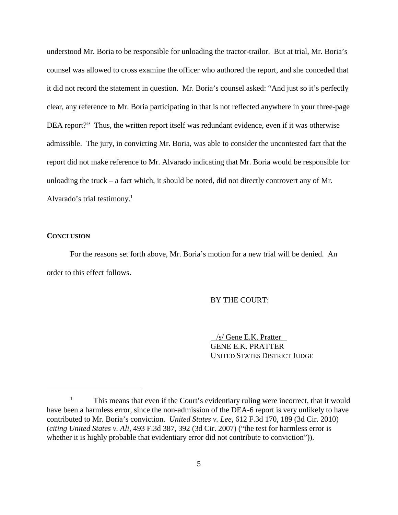understood Mr. Boria to be responsible for unloading the tractor-trailor. But at trial, Mr. Boria's counsel was allowed to cross examine the officer who authored the report, and she conceded that it did not record the statement in question. Mr. Boria's counsel asked: "And just so it's perfectly clear, any reference to Mr. Boria participating in that is not reflected anywhere in your three-page DEA report?" Thus, the written report itself was redundant evidence, even if it was otherwise admissible. The jury, in convicting Mr. Boria, was able to consider the uncontested fact that the report did not make reference to Mr. Alvarado indicating that Mr. Boria would be responsible for unloading the truck – a fact which, it should be noted, did not directly controvert any of Mr. Alvarado's trial testimony. 1

### **CONCLUSION**

For the reasons set forth above, Mr. Boria's motion for a new trial will be denied. An order to this effect follows.

### BY THE COURT:

/s/ Gene E.K. Pratter GENE E.K. PRATTER UNITED STATES DISTRICT JUDGE

<sup>&</sup>lt;sup>1</sup> This means that even if the Court's evidentiary ruling were incorrect, that it would have been a harmless error, since the non-admission of the DEA-6 report is very unlikely to have contributed to Mr. Boria's conviction. *United States v. Lee*, 612 F.3d 170, 189 (3d Cir. 2010) (*citing United States v. Ali*, 493 F.3d 387, 392 (3d Cir. 2007) ("the test for harmless error is whether it is highly probable that evidentiary error did not contribute to conviction")).